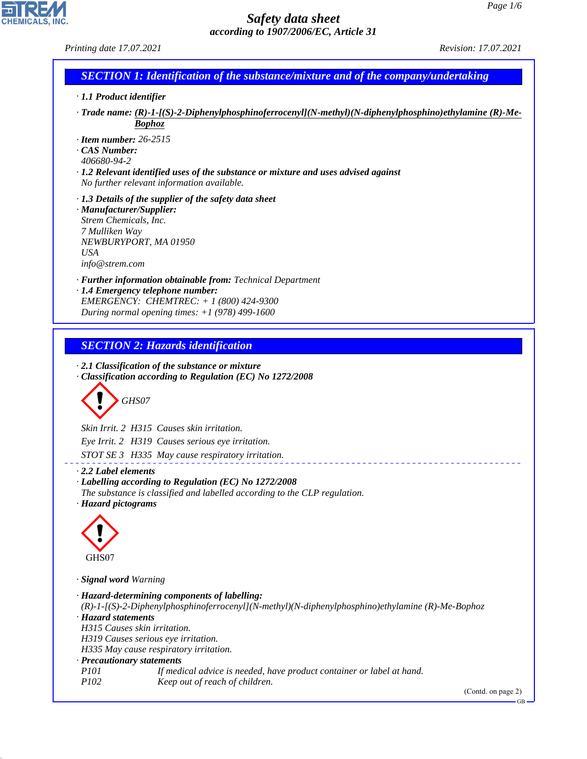*Printing date 17.07.2021 Revision: 17.07.2021*

CHEMICALS, INC.

44.1.1

| · 1.1 Product identifier                                                            |                                                                                                                                 |  |  |  |
|-------------------------------------------------------------------------------------|---------------------------------------------------------------------------------------------------------------------------------|--|--|--|
|                                                                                     | $\cdot$ Trade name: (R)-1-[(S)-2-Diphenylphosphinoferrocenyl](N-methyl)(N-diphenylphosphino)ethylamine (R)-Me-<br><b>Bophoz</b> |  |  |  |
| $\cdot$ Item number: 26-2515                                                        |                                                                                                                                 |  |  |  |
| $\cdot$ CAS Number:<br>406680-94-2                                                  |                                                                                                                                 |  |  |  |
| · 1.2 Relevant identified uses of the substance or mixture and uses advised against |                                                                                                                                 |  |  |  |
|                                                                                     | No further relevant information available.                                                                                      |  |  |  |
|                                                                                     | $\cdot$ 1.3 Details of the supplier of the safety data sheet                                                                    |  |  |  |
| · Manufacturer/Supplier:<br>Strem Chemicals, Inc.                                   |                                                                                                                                 |  |  |  |
| 7 Mulliken Way                                                                      |                                                                                                                                 |  |  |  |
|                                                                                     | NEWBURYPORT, MA 01950                                                                                                           |  |  |  |
| <b>USA</b>                                                                          |                                                                                                                                 |  |  |  |
| info@strem.com                                                                      |                                                                                                                                 |  |  |  |
|                                                                                     | · Further information obtainable from: Technical Department<br>· 1.4 Emergency telephone number:                                |  |  |  |
|                                                                                     | EMERGENCY: CHEMTREC: + 1 (800) 424-9300                                                                                         |  |  |  |
|                                                                                     | During normal opening times: $+1$ (978) 499-1600                                                                                |  |  |  |
|                                                                                     |                                                                                                                                 |  |  |  |
|                                                                                     | <b>SECTION 2: Hazards identification</b>                                                                                        |  |  |  |
|                                                                                     | · 2.1 Classification of the substance or mixture                                                                                |  |  |  |
|                                                                                     | · Classification according to Regulation (EC) No 1272/2008                                                                      |  |  |  |
|                                                                                     |                                                                                                                                 |  |  |  |
|                                                                                     | GHS07                                                                                                                           |  |  |  |
|                                                                                     | Skin Irrit. 2 H315 Causes skin irritation.                                                                                      |  |  |  |
|                                                                                     | Eye Irrit. 2 H319 Causes serious eye irritation.                                                                                |  |  |  |
|                                                                                     | STOT SE 3 H335 May cause respiratory irritation.                                                                                |  |  |  |
| $\cdot$ 2.2 Label elements                                                          |                                                                                                                                 |  |  |  |
|                                                                                     | · Labelling according to Regulation (EC) No 1272/2008                                                                           |  |  |  |
| · Hazard pictograms                                                                 | The substance is classified and labelled according to the CLP regulation.                                                       |  |  |  |
|                                                                                     |                                                                                                                                 |  |  |  |
|                                                                                     |                                                                                                                                 |  |  |  |
|                                                                                     |                                                                                                                                 |  |  |  |
| GHS07                                                                               |                                                                                                                                 |  |  |  |
| · Signal word Warning                                                               |                                                                                                                                 |  |  |  |
|                                                                                     | · Hazard-determining components of labelling:                                                                                   |  |  |  |
|                                                                                     | $(R)$ -1-[(S)-2-Diphenylphosphinoferrocenyl](N-methyl)(N-diphenylphosphino)ethylamine (R)-Me-Bophoz                             |  |  |  |
| · Hazard statements                                                                 | H315 Causes skin irritation.                                                                                                    |  |  |  |
|                                                                                     | H319 Causes serious eye irritation.                                                                                             |  |  |  |
|                                                                                     | H335 May cause respiratory irritation.                                                                                          |  |  |  |
| <i>P101</i>                                                                         | · Precautionary statements                                                                                                      |  |  |  |
| P102                                                                                | If medical advice is needed, have product container or label at hand.<br>Keep out of reach of children.                         |  |  |  |
|                                                                                     | (Contd. on page 2)                                                                                                              |  |  |  |
|                                                                                     |                                                                                                                                 |  |  |  |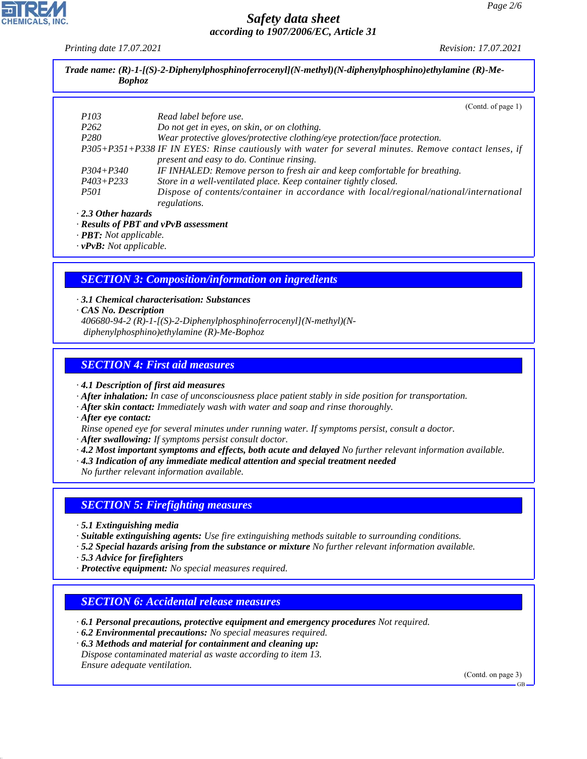*Printing date 17.07.2021 Revision: 17.07.2021*

|                  | (Contd. of page 1)                                                                                                                                 |
|------------------|----------------------------------------------------------------------------------------------------------------------------------------------------|
| <i>P103</i>      | Read label before use.                                                                                                                             |
| P <sub>262</sub> | Do not get in eyes, on skin, or on clothing.                                                                                                       |
| P <sub>280</sub> | Wear protective gloves/protective clothing/eye protection/face protection.                                                                         |
|                  | P305+P351+P338 IF IN EYES: Rinse cautiously with water for several minutes. Remove contact lenses, if<br>present and easy to do. Continue rinsing. |
| $P304 + P340$    | IF INHALED: Remove person to fresh air and keep comfortable for breathing.                                                                         |
| $P403 + P233$    | Store in a well-ventilated place. Keep container tightly closed.                                                                                   |
| <i>P501</i>      | Dispose of contents/container in accordance with local/regional/national/international<br>regulations.                                             |

*· vPvB: Not applicable.*

#### *SECTION 3: Composition/information on ingredients*

- *· 3.1 Chemical characterisation: Substances · CAS No. Description*
- *406680-94-2 (R)-1-[(S)-2-Diphenylphosphinoferrocenyl](N-methyl)(N diphenylphosphino)ethylamine (R)-Me-Bophoz*

#### *SECTION 4: First aid measures*

*· 4.1 Description of first aid measures*

- *· After inhalation: In case of unconsciousness place patient stably in side position for transportation.*
- *· After skin contact: Immediately wash with water and soap and rinse thoroughly.*
- *· After eye contact:*
- *Rinse opened eye for several minutes under running water. If symptoms persist, consult a doctor.*
- *· After swallowing: If symptoms persist consult doctor.*
- *· 4.2 Most important symptoms and effects, both acute and delayed No further relevant information available.*
- *· 4.3 Indication of any immediate medical attention and special treatment needed*

*No further relevant information available.*

#### *SECTION 5: Firefighting measures*

- *· 5.1 Extinguishing media*
- *· Suitable extinguishing agents: Use fire extinguishing methods suitable to surrounding conditions.*
- *· 5.2 Special hazards arising from the substance or mixture No further relevant information available.*
- *· 5.3 Advice for firefighters*

44.1.1

*· Protective equipment: No special measures required.*

#### *SECTION 6: Accidental release measures*

- *· 6.1 Personal precautions, protective equipment and emergency procedures Not required.*
- *· 6.2 Environmental precautions: No special measures required.*
- *· 6.3 Methods and material for containment and cleaning up: Dispose contaminated material as waste according to item 13. Ensure adequate ventilation.*

(Contd. on page 3)

GB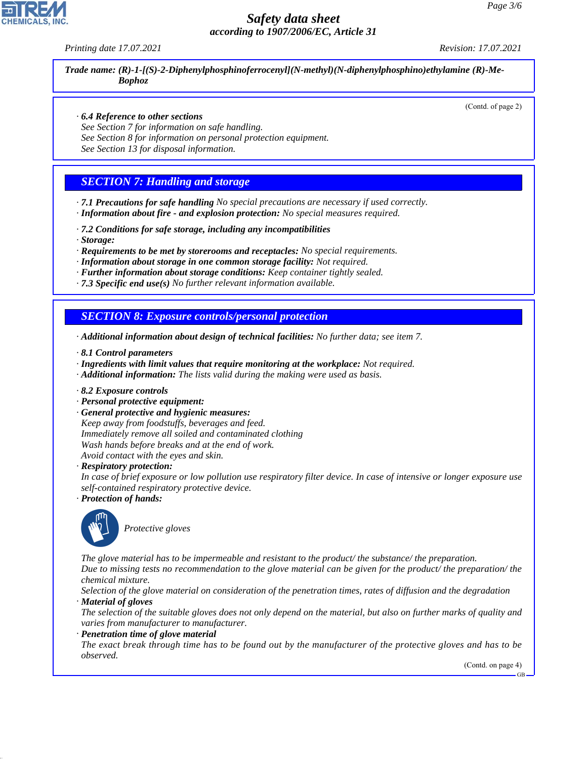*Printing date 17.07.2021 Revision: 17.07.2021*

*Trade name: (R)-1-[(S)-2-Diphenylphosphinoferrocenyl](N-methyl)(N-diphenylphosphino)ethylamine (R)-Me-Bophoz*

(Contd. of page 2)

#### *· 6.4 Reference to other sections*

*See Section 7 for information on safe handling.*

*See Section 8 for information on personal protection equipment.*

*See Section 13 for disposal information.*

## *SECTION 7: Handling and storage*

*· 7.1 Precautions for safe handling No special precautions are necessary if used correctly. · Information about fire - and explosion protection: No special measures required.*

- *· 7.2 Conditions for safe storage, including any incompatibilities*
- *· Storage:*

*· Requirements to be met by storerooms and receptacles: No special requirements.*

*· Information about storage in one common storage facility: Not required.*

*· Further information about storage conditions: Keep container tightly sealed.*

*· 7.3 Specific end use(s) No further relevant information available.*

#### *SECTION 8: Exposure controls/personal protection*

*· Additional information about design of technical facilities: No further data; see item 7.*

- *· 8.1 Control parameters*
- *· Ingredients with limit values that require monitoring at the workplace: Not required.*
- *· Additional information: The lists valid during the making were used as basis.*
- *· 8.2 Exposure controls*
- *· Personal protective equipment:*
- *· General protective and hygienic measures: Keep away from foodstuffs, beverages and feed. Immediately remove all soiled and contaminated clothing Wash hands before breaks and at the end of work. Avoid contact with the eyes and skin.*

*· Respiratory protection:*

*In case of brief exposure or low pollution use respiratory filter device. In case of intensive or longer exposure use self-contained respiratory protective device.*

*· Protection of hands:*



44.1.1

\_S*Protective gloves*

*The glove material has to be impermeable and resistant to the product/ the substance/ the preparation. Due to missing tests no recommendation to the glove material can be given for the product/ the preparation/ the chemical mixture.*

*Selection of the glove material on consideration of the penetration times, rates of diffusion and the degradation · Material of gloves*

*The selection of the suitable gloves does not only depend on the material, but also on further marks of quality and varies from manufacturer to manufacturer.*

#### *· Penetration time of glove material*

*The exact break through time has to be found out by the manufacturer of the protective gloves and has to be observed.*

(Contd. on page 4)

GB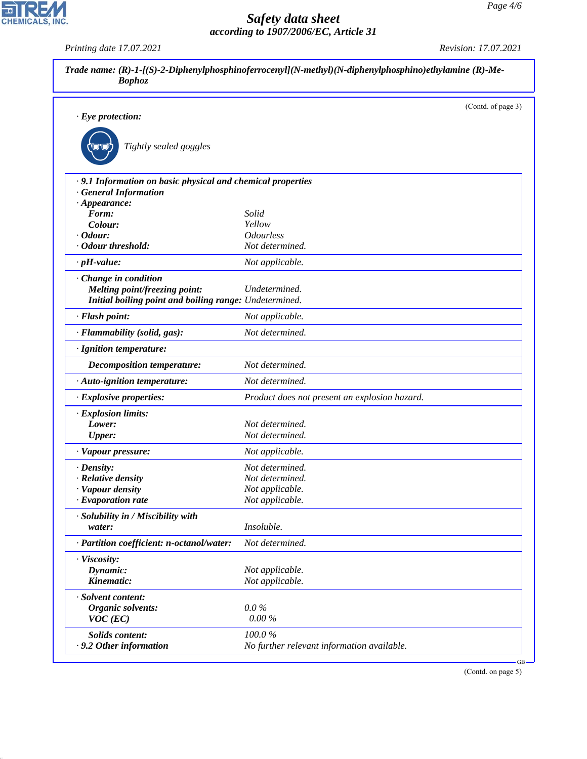*Printing date 17.07.2021 Revision: 17.07.2021*

CHEMICALS, INC.

44.1.1

|                                                             |                                               | (Contd. of page 3) |
|-------------------------------------------------------------|-----------------------------------------------|--------------------|
| $\cdot$ Eye protection:                                     |                                               |                    |
|                                                             |                                               |                    |
| Tightly sealed goggles                                      |                                               |                    |
| · 9.1 Information on basic physical and chemical properties |                                               |                    |
| <b>General Information</b>                                  |                                               |                    |
| $\cdot$ Appearance:                                         |                                               |                    |
| Form:                                                       | Solid                                         |                    |
| Colour:<br>$\cdot$ Odour:                                   | Yellow<br><b>Odourless</b>                    |                    |
| · Odour threshold:                                          | Not determined.                               |                    |
| $\cdot$ pH-value:                                           | Not applicable.                               |                    |
|                                                             |                                               |                    |
| · Change in condition<br>Melting point/freezing point:      | Undetermined.                                 |                    |
| Initial boiling point and boiling range: Undetermined.      |                                               |                    |
| · Flash point:                                              | Not applicable.                               |                    |
| · Flammability (solid, gas):                                | Not determined.                               |                    |
| · Ignition temperature:                                     |                                               |                    |
| <b>Decomposition temperature:</b>                           | Not determined.                               |                    |
| · Auto-ignition temperature:                                | Not determined.                               |                    |
| · Explosive properties:                                     | Product does not present an explosion hazard. |                    |
| · Explosion limits:                                         |                                               |                    |
| Lower:                                                      | Not determined.                               |                    |
| <b>Upper:</b>                                               | Not determined.                               |                    |
| · Vapour pressure:                                          | Not applicable.                               |                    |
| $\cdot$ Density:                                            | Not determined.                               |                    |
| · Relative density                                          | Not determined.                               |                    |
| · Vapour density                                            | Not applicable.                               |                    |
| · Evaporation rate                                          | Not applicable.                               |                    |
| · Solubility in / Miscibility with                          |                                               |                    |
| water:                                                      | Insoluble.                                    |                    |
| · Partition coefficient: n-octanol/water:                   | Not determined.                               |                    |
| · Viscosity:                                                |                                               |                    |
| Dynamic:                                                    | Not applicable.                               |                    |
| Kinematic:                                                  | Not applicable.                               |                    |
| · Solvent content:                                          |                                               |                    |
| <b>Organic solvents:</b>                                    | $0.0\%$                                       |                    |
| $VOC$ (EC)                                                  | $0.00\%$                                      |                    |
| Solids content:                                             | 100.0%                                        |                    |
| .9.2 Other information                                      | No further relevant information available.    |                    |

(Contd. on page 5)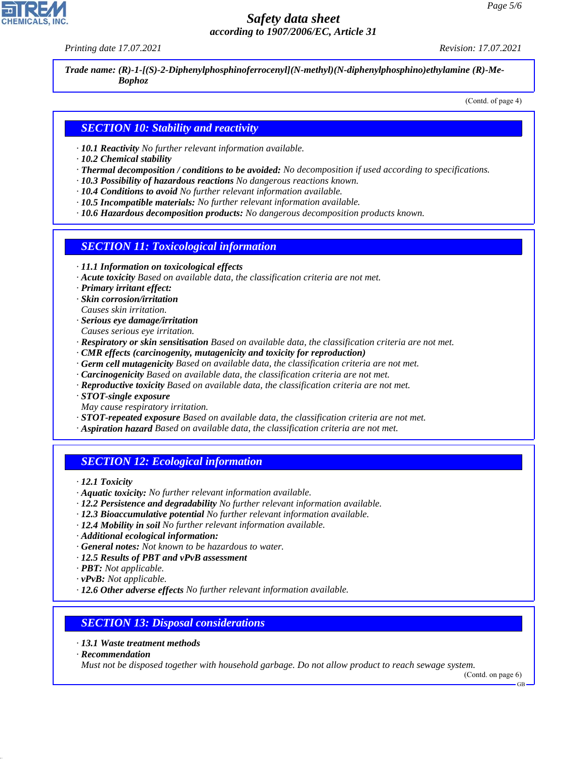*Printing date 17.07.2021 Revision: 17.07.2021*

*Trade name: (R)-1-[(S)-2-Diphenylphosphinoferrocenyl](N-methyl)(N-diphenylphosphino)ethylamine (R)-Me-Bophoz*

(Contd. of page 4)

## *SECTION 10: Stability and reactivity*

- *· 10.1 Reactivity No further relevant information available.*
- *· 10.2 Chemical stability*
- *· Thermal decomposition / conditions to be avoided: No decomposition if used according to specifications.*
- *· 10.3 Possibility of hazardous reactions No dangerous reactions known.*
- *· 10.4 Conditions to avoid No further relevant information available.*
- *· 10.5 Incompatible materials: No further relevant information available.*
- *· 10.6 Hazardous decomposition products: No dangerous decomposition products known.*

#### *SECTION 11: Toxicological information*

- *· 11.1 Information on toxicological effects*
- *· Acute toxicity Based on available data, the classification criteria are not met.*
- *· Primary irritant effect:*
- *· Skin corrosion/irritation*
- *Causes skin irritation.*
- *· Serious eye damage/irritation*
- *Causes serious eye irritation.*
- *· Respiratory or skin sensitisation Based on available data, the classification criteria are not met.*
- *· CMR effects (carcinogenity, mutagenicity and toxicity for reproduction)*
- *· Germ cell mutagenicity Based on available data, the classification criteria are not met.*
- *· Carcinogenicity Based on available data, the classification criteria are not met.*
- *· Reproductive toxicity Based on available data, the classification criteria are not met.*
- *· STOT-single exposure*
- *May cause respiratory irritation.*
- *· STOT-repeated exposure Based on available data, the classification criteria are not met.*
- *· Aspiration hazard Based on available data, the classification criteria are not met.*

# *SECTION 12: Ecological information*

*· 12.1 Toxicity*

- *· Aquatic toxicity: No further relevant information available.*
- *· 12.2 Persistence and degradability No further relevant information available.*
- *· 12.3 Bioaccumulative potential No further relevant information available.*
- *· 12.4 Mobility in soil No further relevant information available.*
- *· Additional ecological information:*
- *· General notes: Not known to be hazardous to water.*
- *· 12.5 Results of PBT and vPvB assessment*
- *· PBT: Not applicable.*
- *· vPvB: Not applicable.*
- *· 12.6 Other adverse effects No further relevant information available.*

#### *SECTION 13: Disposal considerations*

- *· 13.1 Waste treatment methods*
- *· Recommendation*

44.1.1

*Must not be disposed together with household garbage. Do not allow product to reach sewage system.*

GB